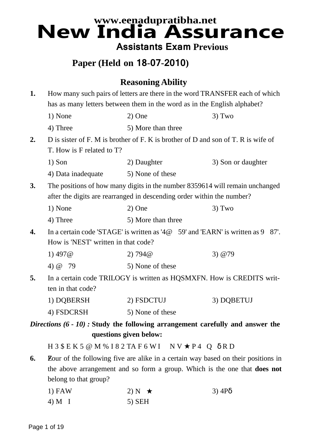# **www.eenadupratibha.net New India Assurance Assistants Exam Previous**

# **Paper (Held on 18-07-2010)**

## **Reasoning Ability**

| 1. | How many such pairs of letters are there in the word TRANSFER each of which<br>has as many letters between them in the word as in the English alphabet? |                                                                                                                                                        |                    |
|----|---------------------------------------------------------------------------------------------------------------------------------------------------------|--------------------------------------------------------------------------------------------------------------------------------------------------------|--------------------|
|    | 1) None                                                                                                                                                 | $2)$ One                                                                                                                                               | $3)$ Two           |
|    | 4) Three                                                                                                                                                | 5) More than three                                                                                                                                     |                    |
| 2. |                                                                                                                                                         | D is sister of F. M is brother of F. K is brother of D and son of T. R is wife of                                                                      |                    |
|    | T. How is F related to T?                                                                                                                               |                                                                                                                                                        |                    |
|    | $1)$ Son                                                                                                                                                | 2) Daughter                                                                                                                                            | 3) Son or daughter |
|    | 4) Data inadequate                                                                                                                                      | 5) None of these                                                                                                                                       |                    |
| 3. |                                                                                                                                                         | The positions of how many digits in the number 8359614 will remain unchanged<br>after the digits are rearranged in descending order within the number? |                    |
|    | 1) None                                                                                                                                                 | $2)$ One                                                                                                                                               | $3)$ Two           |
|    | 4) Three                                                                                                                                                | 5) More than three                                                                                                                                     |                    |
| 4. | In a certain code 'STAGE' is written as '4@©59' and 'EARN' is written as 9©87'.<br>How is 'NEST' written in that code?                                  |                                                                                                                                                        |                    |
|    | 1) $497@$                                                                                                                                               | 2) 794@                                                                                                                                                | 3) @79©            |
|    | 4) @©79                                                                                                                                                 | 5) None of these                                                                                                                                       |                    |
| 5. | ten in that code?                                                                                                                                       | In a certain code TRILOGY is written as HQSMXFN. How is CREDITS writ-                                                                                  |                    |
|    | 1) DQBERSH                                                                                                                                              | 2) FSDCTUJ                                                                                                                                             | 3) DQBETUJ         |
|    | 4) FSDCRSH                                                                                                                                              | 5) None of these                                                                                                                                       |                    |
|    |                                                                                                                                                         | <i>Directions</i> $(6 - 10)$ : Study the following arrangement carefully and answer the                                                                |                    |
|    |                                                                                                                                                         | questions given below:                                                                                                                                 |                    |
|    |                                                                                                                                                         | $H3$ \$ E K 5 @ M % I 8 2 TA F 6 W I ©N V $\star$ P 4 Q $\delta$ R D                                                                                   |                    |
| 6. |                                                                                                                                                         | <b>E</b> Dour of the following five are alike in a certain way based on their positions in                                                             |                    |
|    |                                                                                                                                                         | the above arrangement and so form a group. Which is the one that <b>does not</b>                                                                       |                    |
|    | belong to that group?                                                                                                                                   |                                                                                                                                                        |                    |
|    | $1)$ FAW                                                                                                                                                | 2) N© $\star$                                                                                                                                          | $3)$ 4P $\delta$   |
|    | 4) M©I                                                                                                                                                  | $5)$ SEH                                                                                                                                               |                    |
|    |                                                                                                                                                         |                                                                                                                                                        |                    |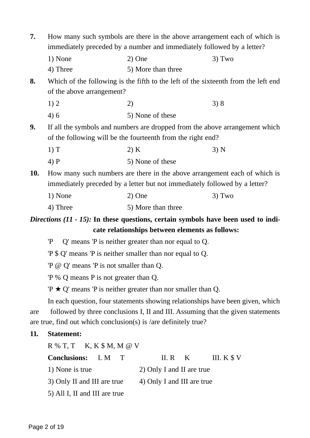| 7.         | How many such symbols are there in the above arrangement each of which is   |                                                                                             |              |
|------------|-----------------------------------------------------------------------------|---------------------------------------------------------------------------------------------|--------------|
|            | immediately preceded by a number and immediately followed by a letter?      |                                                                                             |              |
|            | 1) None                                                                     | $2)$ One                                                                                    | $3)$ Two     |
|            | 4) Three                                                                    | 5) More than three                                                                          |              |
| 8.         |                                                                             | Which of the following is the fifth to the left of the sixteenth from the left end          |              |
|            | of the above arrangement?                                                   |                                                                                             |              |
|            | 1) 2                                                                        | $2)$ $\odot$                                                                                | 3)8          |
|            | 4)6                                                                         | 5) None of these                                                                            |              |
| 9.         |                                                                             | If all the symbols and numbers are dropped from the above arrangement which                 |              |
|            |                                                                             | of the following will be the fourteenth from the right end?                                 |              |
|            | 1) T                                                                        | 2) K                                                                                        | 3) N         |
|            | $4)$ P                                                                      | 5) None of these                                                                            |              |
| <b>10.</b> |                                                                             | How many such numbers are there in the above arrangement each of which is                   |              |
|            |                                                                             | immediately preceded by a letter but not immediately followed by a letter?                  |              |
|            | 1) None                                                                     | $2)$ One                                                                                    | $3)$ Two     |
|            | 4) Three                                                                    | 5) More than three                                                                          |              |
|            |                                                                             | <i>Directions</i> $(11 - 15)$ : In these questions, certain symbols have been used to indi- |              |
|            |                                                                             | cate relationships between elements as follows:                                             |              |
|            |                                                                             | $P \odot Q'$ means $P$ is neither greater than nor equal to Q.                              |              |
|            |                                                                             | $P \$ Q' means 'P is neither smaller than nor equal to Q.                                   |              |
|            | 'P @ Q' means 'P is not smaller than Q.                                     |                                                                                             |              |
|            | $P\%$ Q means P is not greater than Q.                                      |                                                                                             |              |
|            |                                                                             | $P \star Q'$ means P is neither greater than nor smaller than Q.                            |              |
|            |                                                                             | In each question, four statements showing relationships have been given, which              |              |
| are        |                                                                             | followed by three conclusions I, II and III. Assuming that the given statements             |              |
|            |                                                                             | are true, find out which conclusion(s) is /are definitely true?                             |              |
| 11.        | <b>Statement:</b>                                                           |                                                                                             |              |
|            | $R \mathrel{\%} T$ , T $\mathcal{O}K$ , K $\mathcal{S}M$ , M $\mathcal{O}V$ |                                                                                             |              |
|            | <b>Conclusions:</b><br>I. M ©T                                              | II. R $\odot$ K                                                                             | III. $K \$ V |

- 1) None is true 2) Only I and II are true 3) Only II and III are true 4) Only I and III are true 5) All I, II and III are true
-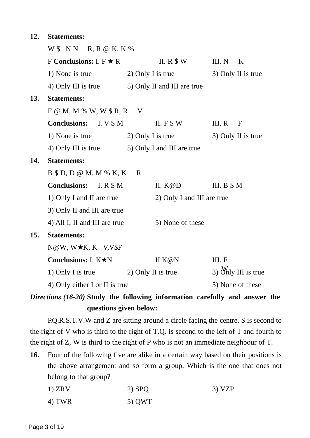| 12. | <b>Statements:</b>                         |                             |                           |
|-----|--------------------------------------------|-----------------------------|---------------------------|
|     | $W$ \$ N N ©R, R @ K, K %                  |                             |                           |
|     | F Conclusions: I. $F \star R$              | II. R $$W$                  | III. N ©K                 |
|     | 1) None is true                            | 2) Only I is true           | 3) Only II is true        |
|     | 4) Only III is true                        | 5) Only II and III are true |                           |
| 13. | <b>Statements:</b>                         |                             |                           |
|     | $F \otimes M$ , M % W, W $R$ , R $\odot V$ |                             |                           |
|     | <b>Conclusions:</b> I. V \$ M              | II. $F$ \$ W                | III. R ©F                 |
|     | 1) None is true                            | 2) Only I is true           | 3) Only II is true        |
|     | 4) Only III is true                        | 5) Only I and III are true  |                           |
| 14. | <b>Statements:</b>                         |                             |                           |
|     | $B $ D, D \otimes M, M $ K, K \otimes R$   |                             |                           |
|     | <b>Conclusions:</b> I. R \$ M              | II. $K@D$                   | III. $B \$M$              |
|     | 1) Only I and II are true                  | 2) Only I and III are true  |                           |
|     | 3) Only II and III are true                |                             |                           |
|     | 4) All I, II and III are true              | 5) None of these            |                           |
| 15. | <b>Statements:</b>                         |                             |                           |
|     | N@W, W★K, K©V,V\$F                         |                             |                           |
|     | Conclusions: I. $K\star N$                 | II.K@N                      | III. F©                   |
|     | 1) Only I is true $2)$ Only II is true     |                             | 3) $\delta M$ III is true |
|     | 4) Only either I or II is true             |                             | 5) None of these          |

*Directions (16-20)* **Study the following information carefully and answer the questions given below:**

P.Q.R.S.T.V.W and Z are sitting around a circle facing the centre. S is second to the right of V who is third to the right of T.Q. is second to the left of T and fourth to the right of Z, W is third to the right of P who is not an immediate neighbour of T.

**16.** Four of the following five are alike in a certain way based on their positions is the above arrangement and so form a group. Which is the one that does not belong to that group?

| $1)$ ZRV | $2)$ SPQ | 3) VZP |
|----------|----------|--------|
| 4) TWR   | 5) QWT   |        |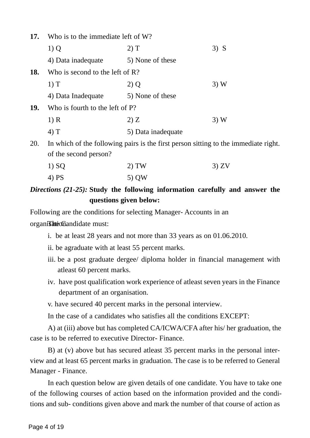| 17.        | Who is to the immediate left of W?                                                  |                    |        |  |
|------------|-------------------------------------------------------------------------------------|--------------------|--------|--|
|            | 1)Q                                                                                 | 2) T               | $3)$ S |  |
|            | 4) Data inadequate                                                                  | 5) None of these   |        |  |
| 18.        | Who is second to the left of $\mathbb{R}$ ?                                         |                    |        |  |
|            | 1) T                                                                                | 2) Q               | 3)W    |  |
|            | 4) Data Inadequate                                                                  | 5) None of these   |        |  |
| <b>19.</b> | Who is fourth to the left of P?                                                     |                    |        |  |
|            | 1) R                                                                                | 2) Z               | 3)W    |  |
|            | 4) T                                                                                | 5) Data inadequate |        |  |
| 20.        | In which of the following pairs is the first person sitting to the immediate right. |                    |        |  |
|            | of the second person?                                                               |                    |        |  |
|            | $1)$ SQ                                                                             | 2) TW              | 3) ZV  |  |
|            | 4) PS                                                                               | 5) QW              |        |  |

## *Directions (21-25):* **Study the following information carefully and answer the questions given below:**

Following are the conditions for selecting Manager- Accounts in an

organis **integrals** contains the control of the control of the control of the Canadian set of the Canadian set of the Canadian set of the Canadian set of the Canadian set of the Canadian set of the Canadian set of the Cana

- i. be at least 28 years and not more than 33 years as on 01.06.2010.
- ii. be agraduate with at least 55 percent marks.
- iii. be a post graduate dergee/ diploma holder in financial management with atleast 60 percent marks.
- iv. have post qualification work experience of atleast seven years in the Finance department of an organisation.

v. have secured 40 percent marks in the personal interview.

In the case of a candidates who satisfies all the conditions EXCEPT:

A) at (iii) above but has completed CA/ICWA/CFA after his/ her graduation, the case is to be referred to executive Director- Finance.

B) at (v) above but has secured atleast 35 percent marks in the personal inter[view and at least 65 percent marks in graduation. The case is to be referred to General](www.exampundit.in) Manager - Finance.

In each question below are given details of one candidate. You have to take one of the following courses of action based on the information provided and the conditions and sub- conditions given above and mark the number of that course of action as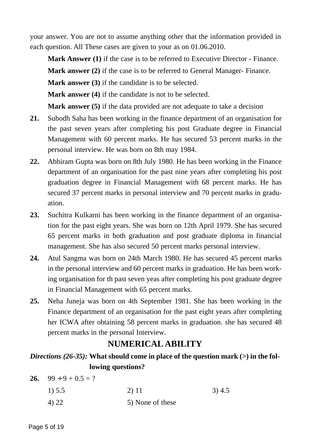your answer. You are not to assume anything other that the information provided in each question. All These cases are given to your as on 01.06.2010.

**Mark Answer (1)** if the case is to be referred to Executive Director - Finance. **Mark answer (2)** if the case is to be referred to General Manager- Finance. **Mark answer (3)** if the candidate is to be selected. **Mark answer (4)** if the candidate is not to be selected. **Mark answer (5)** if the data provided are not adequate to take a decision

- **21.** Subodh Saha has been working in the finance department of an organisation for the past seven years after completing his post Graduate degree in Financial Management with 60 percent marks. He has secured 53 percent marks in the personal interview. He was born on 8th may 1984.
- **22.** Abhiram Gupta was born on 8th July 1980. He has been working in the Finance department of an organisation for the past nine years after completing his post graduation degree in Financial Management with 68 percent marks. He has secured 37 percent marks in personal interview and 70 percent marks in graduation.
- **23.** Suchitra Kulkarni has been working in the finance department of an organisation for the past eight years. She was born on 12th April 1979. She has secured 65 percent marks in both graduation and post graduate diploma in financial management. She has also secured 50 percent marks personal interview.
- **24.** Atul Sangma was born on 24th March 1980. He has secured 45 percent marks in the personal interview and 60 percent marks in graduation. He has been working organisation for th past seven yeas after completing his post graduate degree in Financial Management with 65 percent marks.
- **25.** Neha Juneja was born on 4th September 1981. She has been working in the [Finance department of an organisation for the past eight years after completing](www.exampundit.in) her ICWA after obtaining 58 percent marks in graduation. she has secured 48 percent marks in the personal Interview.

## **NUMERICAL ABILITY**

### *Directions (26-35):* What should come in place of the question mark (>) in the fol**lowing questions?**

**26.** 99  $\div$  9 + 0.5 = ?

| 1) 5.5 | 2) 11            | 3)4.5 |
|--------|------------------|-------|
| 4) 22  | 5) None of these |       |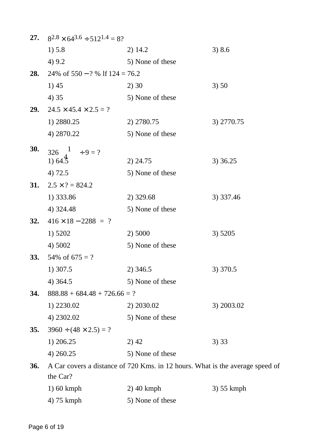| 27.        | $8^{2.8} \times 64^{3.6} \div 512^{1.4} = 8?$ |                                                                               |            |
|------------|-----------------------------------------------|-------------------------------------------------------------------------------|------------|
|            | 1) 5.8                                        | 2) 14.2                                                                       | 3) 8.6     |
|            | 4) 9.2                                        | 5) None of these                                                              |            |
| 28.        | 24% of $550 - ?$ % lf $124 = 76.2$            |                                                                               |            |
|            | 1)45                                          | 2)30                                                                          | 3) 50      |
|            | 4) 35                                         | 5) None of these                                                              |            |
| <b>29.</b> | $24.5 \times 45.4 \times 2.5 = ?$             |                                                                               |            |
|            | 1) 2880.25                                    | 2) 2780.75                                                                    | 3) 2770.75 |
|            | 4) 2870.22                                    | 5) None of these                                                              |            |
| <b>30.</b> | 326 $1 - \div 9 = ?$                          |                                                                               |            |
|            | $1) 64.\overline{5}$                          | 2) 24.75                                                                      | 3) 36.25   |
|            | 4) 72.5                                       | 5) None of these                                                              |            |
| <b>31.</b> | $2.5 \times ? = 824.2$                        |                                                                               |            |
|            | 1) 333.86                                     | 2) 329.68                                                                     | 3) 337.46  |
|            | 4) 324.48                                     | 5) None of these                                                              |            |
| 32.        | $416 \times 18 - 2288 = ?$                    |                                                                               |            |
|            | 1) 5202                                       | 2) 5000                                                                       | 3) 5205    |
|            | 4) 5002                                       | 5) None of these                                                              |            |
| <b>33.</b> | 54\% of $675 = ?$                             |                                                                               |            |
|            | 1) 307.5                                      | 2) 346.5                                                                      | 3) 370.5   |
|            | 4) 364.5                                      | 5) None of these                                                              |            |
| 34.        | $888.88 + 684.48 + 726.66 = ?$                |                                                                               |            |
|            | 1) 2230.02                                    | 2) 2030.02                                                                    | 3) 2003.02 |
|            | 4) 2302.02                                    | 5) None of these                                                              |            |
| 35.        | $3960 \div (48 \times 2.5) = ?$               |                                                                               |            |
|            | 1) 206.25                                     | $2)$ 42                                                                       | 3) 33      |
|            | 4) 260.25                                     | 5) None of these                                                              |            |
| <b>36.</b> |                                               | A Car covers a distance of 720 Kms. in 12 hours. What is the average speed of |            |
|            | the Car?                                      |                                                                               |            |
|            | $1)$ 60 kmph                                  | $2)$ 40 kmph                                                                  | 3) 55 kmph |
|            | 4) 75 kmph                                    | 5) None of these                                                              |            |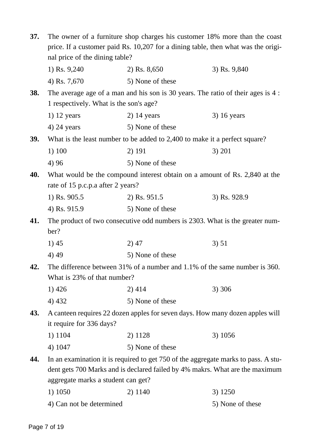| 37.        | The owner of a furniture shop charges his customer 18% more than the coast |                                                                                    |                  |
|------------|----------------------------------------------------------------------------|------------------------------------------------------------------------------------|------------------|
|            |                                                                            | price. If a customer paid Rs. 10,207 for a dining table, then what was the origi-  |                  |
|            | nal price of the dining table?                                             |                                                                                    |                  |
|            | 1) Rs. 9,240                                                               | 2) Rs. $8,650$                                                                     | 3) Rs. 9,840     |
|            | 4) Rs. 7,670                                                               | 5) None of these                                                                   |                  |
| <b>38.</b> |                                                                            | The average age of a man and his son is 30 years. The ratio of their ages is 4 :   |                  |
|            | 1 respectively. What is the son's age?                                     |                                                                                    |                  |
|            | $1)$ 12 years                                                              | $2)$ 14 years                                                                      | $3)$ 16 years    |
|            | $4)$ 24 years                                                              | 5) None of these                                                                   |                  |
| <b>39.</b> |                                                                            | What is the least number to be added to 2,400 to make it a perfect square?         |                  |
|            | 1) 100                                                                     | 2) 191                                                                             | 3) 201           |
|            | 4) 96                                                                      | 5) None of these                                                                   |                  |
| 40.        |                                                                            | What would be the compound interest obtain on a amount of Rs. 2,840 at the         |                  |
|            | rate of 15 p.c.p.a after 2 years?                                          |                                                                                    |                  |
|            | 1) Rs. 905.5                                                               | 2) Rs. 951.5                                                                       | 3) Rs. 928.9     |
|            | 4) Rs. 915.9                                                               | 5) None of these                                                                   |                  |
| 41.        |                                                                            | The product of two consecutive odd numbers is 2303. What is the greater num-       |                  |
|            | ber?                                                                       |                                                                                    |                  |
|            | 1)45                                                                       | $2)$ 47                                                                            | 3) 51            |
|            | 4) 49                                                                      | 5) None of these                                                                   |                  |
| 42.        |                                                                            | The difference between 31% of a number and 1.1% of the same number is 360.         |                  |
|            | What is 23% of that number?                                                |                                                                                    |                  |
|            | 1) 426                                                                     | 2) 414                                                                             | 3) 306           |
|            | 4) 432                                                                     | 5) None of these                                                                   |                  |
| 43.        |                                                                            | A canteen requires 22 dozen apples for seven days. How many dozen apples will      |                  |
|            | it require for 336 days?                                                   |                                                                                    |                  |
|            | 1) 1104                                                                    | 2) 1128                                                                            | 3) 1056          |
|            | 4) 1047                                                                    | 5) None of these                                                                   |                  |
| 44.        |                                                                            | In an examination it is required to get 750 of the aggregate marks to pass. A stu- |                  |
|            |                                                                            | dent gets 700 Marks and is declared failed by 4% makrs. What are the maximum       |                  |
|            | aggregate marks a student can get?                                         |                                                                                    |                  |
|            | 1) 1050                                                                    | 2) 1140                                                                            | 3) 1250          |
|            | 4) Can not be determined                                                   |                                                                                    | 5) None of these |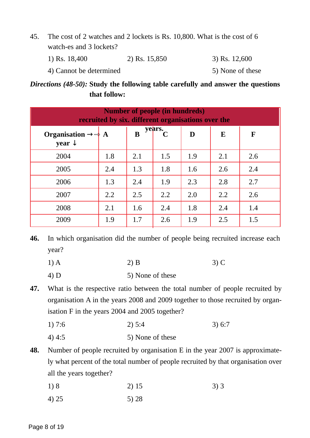- 45. The cost of 2 watches and 2 lockets is Rs. 10,800. What is the cost of 6 watch-es and 3 lockets?
	- 1) Rs. 18,400 2) Rs. 15,850 3) Rs. 12,600
	- 4) Cannot be determined 5) None of these

### *Directions (48-50):* **Study the following table carefully and answer the questions that follow:**

| <b>Number of people (in hundreds)</b><br>recruited by six. different organisations over the |     |     |             |     |     |     |
|---------------------------------------------------------------------------------------------|-----|-----|-------------|-----|-----|-----|
| Organisation $\rightarrow \rightarrow A$<br>year $\downarrow$                               |     | B   | years.<br>C | D   | E   | F   |
| 2004                                                                                        | 1.8 | 2.1 | 1.5         | 1.9 | 2.1 | 2.6 |
| 2005                                                                                        | 2.4 | 1.3 | 1.8         | 1.6 | 2.6 | 2.4 |
| 2006                                                                                        | 1.3 | 2.4 | 1.9         | 2.3 | 2.8 | 2.7 |
| 2007                                                                                        | 2.2 | 2.5 | 2.2         | 2.0 | 2.2 | 2.6 |
| 2008                                                                                        | 2.1 | 1.6 | 2.4         | 1.8 | 2.4 | 1.4 |
| 2009                                                                                        | 1.9 | 1.7 | 2.6         | 1.9 | 2.5 | 1.5 |

**46.** In which organisation did the number of people being recruited increase each year?

1) A 2) B 3) C

 $4) D$  5) None of these

**47.** [What is the respective ratio between the total number of people recruited by](www.exampundit.in) organisation A in the years 2008 and 2009 together to those recruited by organisation F in the years 2004 and 2005 together?

- 1) 7:6 2) 5:4 3) 6:7
- 4) 4:5 5) None of these
- **48.** Number of people recruited by organisation E in the year 2007 is approximately what percent of the total number of people recruited by that organisation over all the years together?
	- 1) 8 2) 15 3) 3
	- 4) 25 5) 28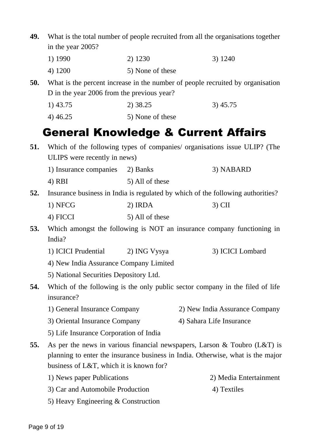| 49. | What is the total number of people recruited from all the organisations together |                  |                                                                                 |
|-----|----------------------------------------------------------------------------------|------------------|---------------------------------------------------------------------------------|
|     | in the year 2005?                                                                |                  |                                                                                 |
|     | 1) 1990                                                                          | 2) 1230          | 3) 1240                                                                         |
|     | 4) 1200                                                                          | 5) None of these |                                                                                 |
| 50. |                                                                                  |                  | What is the percent increase in the number of people recruited by organisation  |
|     | D in the year 2006 from the previous year?                                       |                  |                                                                                 |
|     | $1)$ 43.75                                                                       | 2) 38.25         | 3)45.75                                                                         |
|     | 4) 46.25                                                                         | 5) None of these |                                                                                 |
|     |                                                                                  |                  | <b>General Knowledge &amp; Current Affairs</b>                                  |
| 51. |                                                                                  |                  | Which of the following types of companies/ organisations issue ULIP? (The       |
|     | ULIPS were recently in news)                                                     |                  |                                                                                 |
|     | 1) Insurance companies 2) Banks                                                  |                  | 3) NABARD                                                                       |
|     | $4)$ RBI                                                                         | 5) All of these  |                                                                                 |
| 52. |                                                                                  |                  | Insurance business in India is regulated by which of the following authorities? |
|     | 1) NFCG                                                                          | 2) IRDA          | $3)$ CII                                                                        |
|     | 4) FICCI                                                                         | 5) All of these  |                                                                                 |
| 53. |                                                                                  |                  | Which amongst the following is NOT an insurance company functioning in          |
|     | India?                                                                           |                  |                                                                                 |
|     | 1) ICICI Prudential 2) ING Vysya                                                 |                  | 3) ICICI Lombard                                                                |
|     | 4) New India Assurance Company Limited                                           |                  |                                                                                 |
|     | 5) National Securities Depository Ltd.                                           |                  |                                                                                 |
| 54. | insurance?                                                                       |                  | Which of the following is the only public sector company in the filed of life   |
|     | 1) General Insurance Company                                                     |                  | 2) New India Assurance Company                                                  |
|     | 3) Oriental Insurance Company                                                    |                  | 4) Sahara Life Insurance                                                        |
|     | 5) Life Insurance Corporation of India                                           |                  |                                                                                 |
| 55. |                                                                                  |                  | As per the news in various financial newspapers, Larson & Toubro $(L&T)$ is     |
|     |                                                                                  |                  | planning to enter the insurance business in India. Otherwise, what is the major |
|     | business of L&T, which it is known for?                                          |                  |                                                                                 |
|     | 1) News paper Publications                                                       |                  | 2) Media Entertainment                                                          |
|     | 3) Car and Automobile Production                                                 |                  | 4) Textiles                                                                     |
|     | 5) Heavy Engineering & Construction                                              |                  |                                                                                 |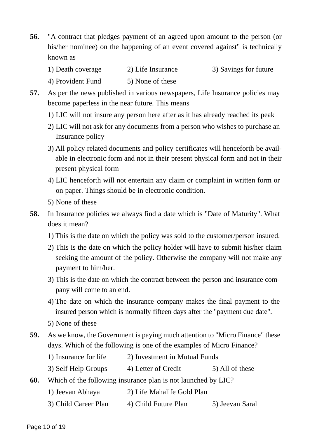- **56.** "A contract that pledges payment of an agreed upon amount to the person (or his/her nominee) on the happening of an event covered against" is technically known as
	- 1) Death coverage 2) Life Insurance 3) Savings for future
	- 4) Provident Fund 5) None of these
- **57.** As per the news published in various newspapers, Life Insurance policies may become paperless in the near future. This means
	- 1) LIC will not insure any person here after as it has already reached its peak
	- 2) LIC will not ask for any documents from a person who wishes to purchase an Insurance policy
	- 3) All policy related documents and policy certificates will henceforth be available in electronic form and not in their present physical form and not in their present physical form
	- 4) LIC henceforth will not entertain any claim or complaint in written form or on paper. Things should be in electronic condition.
	- 5) None of these
- **58.** In Insurance policies we always find a date which is "Date of Maturity". What does it mean?
	- 1) This is the date on which the policy was sold to the customer/person insured.
	- 2) This is the date on which the policy holder will have to submit his/her claim seeking the amount of the policy. Otherwise the company will not make any payment to him/her.
	- 3) This is the date on which the contract between the person and insurance company will come to an end.
	- 4) The date on which the insurance company makes the final payment to the insured person which is normally fifteen days after the "payment due date".
	- 5) None of these
- **59.** [As we know, the Government is paying much attention to "Micro Finance" these](www.exampundit.in) days. Which of the following is one of the examples of Micro Finance?
	- 1) Insurance for life 2) Investment in Mutual Funds
	- 3) Self Help Groups 4) Letter of Credit 5) All of these
- **60.** Which of the following insurance plan is not launched by LIC?
	- 1) Jeevan Abhaya 2) Life Mahalife Gold Plan
	- 3) Child Career Plan 4) Child Future Plan 5) Jeevan Saral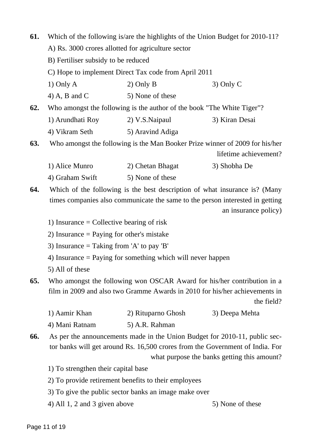| 61. | Which of the following is/are the highlights of the Union Budget for 2010-11?<br>A) Rs. 3000 crores allotted for agriculture sector |                                                                                                                                                             |                                             |
|-----|-------------------------------------------------------------------------------------------------------------------------------------|-------------------------------------------------------------------------------------------------------------------------------------------------------------|---------------------------------------------|
|     |                                                                                                                                     |                                                                                                                                                             |                                             |
|     | B) Fertiliser subsidy to be reduced                                                                                                 |                                                                                                                                                             |                                             |
|     |                                                                                                                                     | C) Hope to implement Direct Tax code from April 2011                                                                                                        |                                             |
|     | $1)$ Only A                                                                                                                         | $2)$ Only B                                                                                                                                                 | $3)$ Only C                                 |
|     | 4) A, B and C                                                                                                                       | 5) None of these                                                                                                                                            |                                             |
| 62. |                                                                                                                                     | Who amongst the following is the author of the book "The White Tiger"?                                                                                      |                                             |
|     | 1) Arundhati Roy 2) V.S. Naipaul                                                                                                    |                                                                                                                                                             | 3) Kiran Desai                              |
|     | 4) Vikram Seth 5) Aravind Adiga                                                                                                     |                                                                                                                                                             |                                             |
| 63. |                                                                                                                                     | Who amongst the following is the Man Booker Prize winner of 2009 for his/her                                                                                |                                             |
|     |                                                                                                                                     |                                                                                                                                                             | lifetime achievement?                       |
|     | 1) Alice Munro                                                                                                                      | 2) Chetan Bhagat                                                                                                                                            | 3) Shobha De                                |
|     | 4) Graham Swift                                                                                                                     | 5) None of these                                                                                                                                            |                                             |
| 64. |                                                                                                                                     | Which of the following is the best description of what insurance is? (Many                                                                                  |                                             |
|     |                                                                                                                                     | times companies also communicate the same to the person interested in getting                                                                               |                                             |
|     |                                                                                                                                     |                                                                                                                                                             | an insurance policy)                        |
|     | 1) Insurance = Collective bearing of risk                                                                                           |                                                                                                                                                             |                                             |
|     | 2) Insurance $=$ Paying for other's mistake                                                                                         |                                                                                                                                                             |                                             |
|     | 3) Insurance $=$ Taking from 'A' to pay 'B'                                                                                         |                                                                                                                                                             |                                             |
|     |                                                                                                                                     | 4) Insurance $=$ Paying for something which will never happen                                                                                               |                                             |
|     | 5) All of these                                                                                                                     |                                                                                                                                                             |                                             |
| 65. |                                                                                                                                     | Who amongst the following won OSCAR Award for his/her contribution in a                                                                                     |                                             |
|     |                                                                                                                                     | film in 2009 and also two Gramme Awards in 2010 for his/her achievements in                                                                                 |                                             |
|     |                                                                                                                                     |                                                                                                                                                             | the field?                                  |
|     | 1) Aamir Khan                                                                                                                       | 2) Rituparno Ghosh                                                                                                                                          | 3) Deepa Mehta                              |
|     | 4) Mani Ratnam                                                                                                                      | 5) A.R. Rahman                                                                                                                                              |                                             |
| 66. |                                                                                                                                     | As per the announcements made in the Union Budget for 2010-11, public sec-<br>tor banks will get around Rs. 16,500 crores from the Government of India. For |                                             |
|     |                                                                                                                                     |                                                                                                                                                             | what purpose the banks getting this amount? |
|     |                                                                                                                                     |                                                                                                                                                             |                                             |

- 1) To strengthen their capital base
- 2) To provide retirement benefits to their employees
- 3) To give the public sector banks an image make over
- 4) All 1, 2 and 3 given above  $\qquad$  5) None of these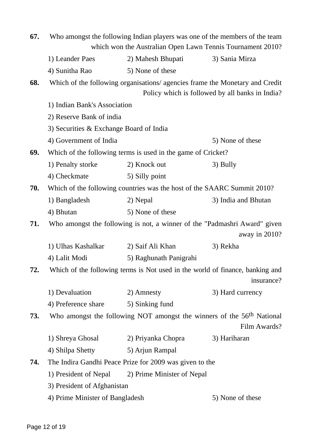| 67. | Who amongst the following Indian players was one of the members of the team |                                                                                    |                                                 |
|-----|-----------------------------------------------------------------------------|------------------------------------------------------------------------------------|-------------------------------------------------|
|     |                                                                             | which won the Australian Open Lawn Tennis Tournament 2010?                         |                                                 |
|     | 1) Leander Paes                                                             | 2) Mahesh Bhupati                                                                  | 3) Sania Mirza                                  |
|     | 4) Sunitha Rao                                                              | 5) None of these                                                                   |                                                 |
| 68. |                                                                             | Which of the following organisations/ agencies frame the Monetary and Credit       |                                                 |
|     |                                                                             |                                                                                    | Policy which is followed by all banks in India? |
|     | 1) Indian Bank's Association                                                |                                                                                    |                                                 |
|     | 2) Reserve Bank of india                                                    |                                                                                    |                                                 |
|     | 3) Securities & Exchange Board of India                                     |                                                                                    |                                                 |
|     | 4) Government of India                                                      |                                                                                    | 5) None of these                                |
| 69. |                                                                             | Which of the following terms is used in the game of Cricket?                       |                                                 |
|     | 1) Penalty storke                                                           | 2) Knock out                                                                       | 3) Bully                                        |
|     | 4) Checkmate                                                                | 5) Silly point                                                                     |                                                 |
| 70. |                                                                             | Which of the following countries was the host of the SAARC Summit 2010?            |                                                 |
|     | 1) Bangladesh                                                               | 2) Nepal                                                                           | 3) India and Bhutan                             |
|     | 4) Bhutan                                                                   | 5) None of these                                                                   |                                                 |
| 71. |                                                                             | Who amongst the following is not, a winner of the "Padmashri Award" given          |                                                 |
|     |                                                                             |                                                                                    | away in 2010?                                   |
|     | 1) Ulhas Kashalkar                                                          | 2) Saif Ali Khan                                                                   | 3) Rekha                                        |
|     | 4) Lalit Modi                                                               | 5) Raghunath Panigrahi                                                             |                                                 |
| 72. |                                                                             | Which of the following terms is Not used in the world of finance, banking and      |                                                 |
|     |                                                                             |                                                                                    | insurance?                                      |
|     | 1) Devaluation                                                              | 2) Amnesty                                                                         | 3) Hard currency                                |
|     | 4) Preference share 5) Sinking fund                                         |                                                                                    |                                                 |
| 73. |                                                                             | Who amongst the following NOT amongst the winners of the 56 <sup>th</sup> National |                                                 |
|     |                                                                             |                                                                                    | Film Awards?                                    |
|     | 1) Shreya Ghosal 2) Priyanka Chopra                                         |                                                                                    | 3) Hariharan                                    |
|     | 4) Shilpa Shetty                                                            | 5) Arjun Rampal                                                                    |                                                 |
| 74. |                                                                             | The Indira Gandhi Peace Prize for 2009 was given to the                            |                                                 |
|     |                                                                             | 1) President of Nepal 2) Prime Minister of Nepal                                   |                                                 |
|     | 3) President of Afghanistan                                                 |                                                                                    |                                                 |
|     | 4) Prime Minister of Bangladesh<br>5) None of these                         |                                                                                    |                                                 |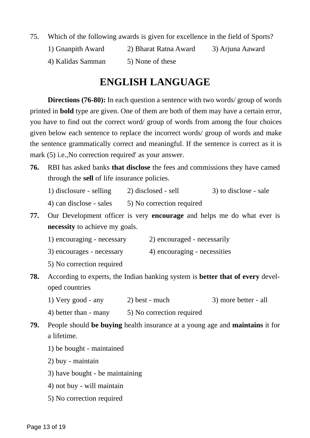75. Which of the following awards is given for excellence in the field of Sports?

- 1) Gnanpith Award 2) Bharat Ratna Award 3) Arjuna Aaward
- 4) Kalidas Samman 5) None of these

## **ENGLISH LANGUAGE**

**Directions (76-80):** In each question a sentence with two words/ group of words printed in **bold** type are given. One of them are both of them may have a certain error, you have to find out the correct word/ group of words from among the four choices [given below each sentence to replace the incorrect words/ group of words and make](www.exampundit.in) the sentence grammatically correct and meaningful. If the sentence is correct as it is mark (5) i.e., No correction required' as your answer.

- **76.** RBI has asked banks **that disclose** the fees and commissions they have camed through the **sell** of life insurance policies.
	- 1) disclosure selling 2) disclosed sell 3) to disclose sale
	- 4) can disclose sales  $\qquad$  5) No correction required
- **77.** Our Development officer is very **encourage** and helps me do what ever is **necessity** to achieve my goals.
	- 1) encouraging necessary 2) encouraged necessarily
	- 3) encourages necessary 4) encouraging necessities
	- 5) No correction required
- **78.** According to experts, the Indian banking system is **better that of every** developed countries
	- 1) Very good any 2) best much 3) more better all
	- 4) better than many 5) No correction required
- **79.** People should **be buying** health insurance at a young age and **maintains** it for a lifetime.
	- 1) be bought maintained
	- 2) buy maintain
	- 3) have bought be maintaining
	- 4) not buy will maintain
	- 5) No correction required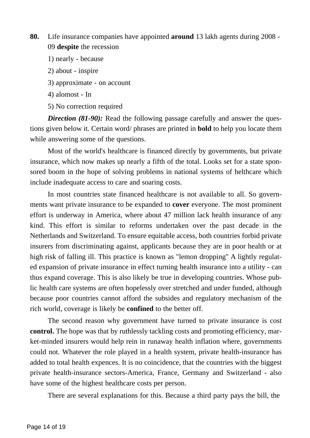**80.** Life insurance companies have appointed **around** 13 lakh agents during 2008 - 09 **despite** the recession

- 1) nearly because
- 2) about inspire
- 3) approximate on account
- 4) alomost In
- 5) No correction required

*Direction (81-90):* Read the following passage carefully and answer the questions given below it. Certain word/ phrases are printed in **bold** to help you locate them while answering some of the questions.

Most of the world's healthcare is financed directly by governments, but private insurance, which now makes up nearly a fifth of the total. Looks set for a state sponsored boom in the hope of solving problems in national systems of helthcare which include inadequate access to care and soaring costs.

In most countries state financed healthcare is not available to all. So governments want private insurance to be expanded to **cover** everyone. The most prominent effort is underway in America, where about 47 million lack health insurance of any kind. This effort is similar to reforms undertaken over the past decade in the Netherlands and Switzerland. To ensure equitable access, both countries forbid private insurers from discriminating against, applicants because they are in poor health or at high risk of falling ill. This practice is known as "lemon dropping'' A lightly regulat[ed expansion of private insurance in effect turning health insurance into a utility - can](www.exampundit.in) thus expand coverage. This is also likely be true in developing countries. Whose public health care systems are often hopelessly over stretched and under funded, although because poor countries cannot afford the subsides and regulatory mechanism of the rich world, coverage is likely be **confined** to the better off.

The second reason why government have turned to private insurance is cost **control.** The hope was that by ruthlessly tackling costs and promoting efficiency, market-minded insurers would help rein in runaway health inflation where, governments could not. Whatever the role played in a health system, private health-insurance has added to total health expences. It is no coincidence, that the countries with the biggest private health-insurance sectors-America, France, Germany and Switzerland - also have some of the highest healthcare costs per person.

There are several explanations for this. Because a third party pays the bill, the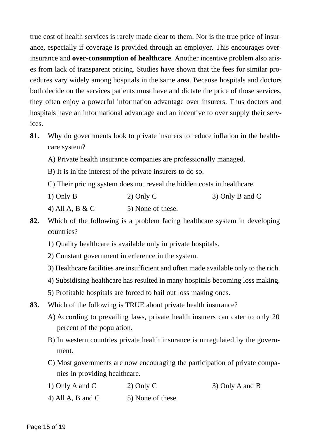true cost of health services is rarely made clear to them. Nor is the true price of insurance, especially if coverage is provided through an employer. This encourages overinsurance and **over-consumption of healthcare**. Another incentive problem also arises from lack of transparent pricing. Studies have shown that the fees for similar procedures vary widely among hospitals in the same area. Because hospitals and doctors both decide on the services patients must have and dictate the price of those services, they often enjoy a powerful information advantage over insurers. Thus doctors and [hospitals have an informational advantage and an incentive to over supply their serv](www.exampundit.in)ices.

- **81.** Why do governments look to private insurers to reduce inflation in the healthcare system?
	- A) Private health insurance companies are professionally managed.
	- B) It is in the interest of the private insurers to do so.
	- C) Their pricing system does not reveal the hidden costs in healthcare.
	- 1) Only B 2) Only C 3) Only B and C
	- 4) All A, B & C  $\qquad$  5) None of these.
- **82.** Which of the following is a problem facing healthcare system in developing countries?
	- 1) Quality healthcare is available only in private hospitals.
	- 2) Constant government interference in the system.
	- 3) Healthcare facilities are insufficient and often made available only to the rich.
	- 4) Subsidising healthcare has resulted in many hospitals becoming loss making.
	- 5) Profitable hospitals are forced to bail out loss making ones.
- **83.** Which of the following is TRUE about private health insurance?
	- A) According to prevailing laws, private health insurers can cater to only 20 percent of the population.
	- B) In western countries private health insurance is unregulated by the government.
	- C) Most governments are now encouraging the participation of private companies in providing healthcare.
	- 1) Only A and C 2) Only C 3) Only A and B
	- 4) All A, B and C  $\qquad$  5) None of these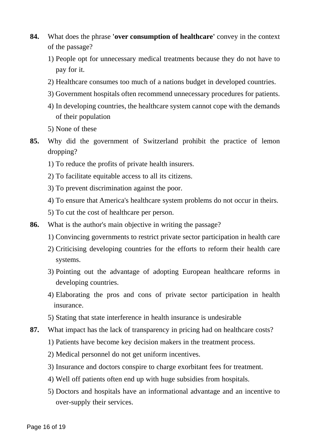- **84.** What does the phrase **'over consumption of healthcare'** convey in the context of the passage?
	- 1) People opt for unnecessary medical treatments because they do not have to pay for it.
	- 2) Healthcare consumes too much of a nations budget in developed countries.
	- 3) Government hospitals often recommend unnecessary procedures for patients.
	- 4) In developing countries, the healthcare system cannot cope with the demands of their population
	- 5) None of these
- **85.** [Why did the government of Switzerland prohibit the practice of lemon](www.exampundit.in) dropping?
	- 1) To reduce the profits of private health insurers.
	- 2) To facilitate equitable access to all its citizens.
	- 3) To prevent discrimination against the poor.
	- 4) To ensure that America's healthcare system problems do not occur in theirs.
	- 5) To cut the cost of healthcare per person.
- **86.** What is the author's main objective in writing the passage?
	- 1) Convincing governments to restrict private sector participation in health care
	- 2) Criticising developing countries for the efforts to reform their health care systems.
	- 3) Pointing out the advantage of adopting European healthcare reforms in developing countries.
	- 4) Elaborating the pros and cons of private sector participation in health insurance.
	- 5) Stating that state interference in health insurance is undesirable
- **87.** What impact has the lack of transparency in pricing had on healthcare costs?
	- 1) Patients have become key decision makers in the treatment process.
	- 2) Medical personnel do not get uniform incentives.
	- 3) Insurance and doctors conspire to charge exorbitant fees for treatment.
	- 4) Well off patients often end up with huge subsidies from hospitals.
	- 5) Doctors and hospitals have an informational advantage and an incentive to over-supply their services.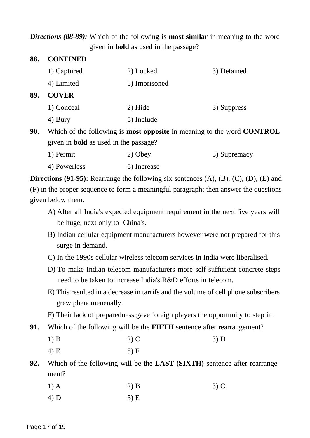#### *Directions (88-89):* Which of the following is **most similar** in meaning to the word given in **bold** as used in the passage?

| 88. | <b>CONFINED</b>                              |                                                                                      |             |  |
|-----|----------------------------------------------|--------------------------------------------------------------------------------------|-------------|--|
|     | 1) Captured                                  | 2) Locked                                                                            | 3) Detained |  |
|     | 4) Limited                                   | 5) Imprisoned                                                                        |             |  |
| 89. | <b>COVER</b>                                 |                                                                                      |             |  |
|     | 1) Conceal                                   | $2)$ Hide                                                                            | 3) Suppress |  |
|     | 4) Bury                                      | 5) Include                                                                           |             |  |
| 90. |                                              | Which of the following is <b>most opposite</b> in meaning to the word <b>CONTROL</b> |             |  |
|     | given in <b>bold</b> as used in the passage? |                                                                                      |             |  |

1) Permit 2) Obey 3) Supremacy 4) Powerless 5) Increase

**Directions (91-95):** Rearrange the following six sentences (A), (B), (C), (D), (E) and [\(F\) in the proper sequence to form a meaningful paragraph; then answer the questions](www.exampundit.in) given below them.

- A) After all India's expected equipment requirement in the next five years will be huge, next only to China's.
- B) Indian cellular equipment manufacturers however were not prepared for this surge in demand.
- C) In the 1990s cellular wireless telecom services in India were liberalised.
- D) To make Indian telecom manufacturers more self-sufficient concrete steps need to be taken to increase India's R&D efforts in telecom.
- E) This resulted in a decrease in tarrifs and the volume of cell phone subscribers grew phenomenenally.
- F) Their lack of preparedness gave foreign players the opportunity to step in.
- **91.** Which of the following will be the **FIFTH** sentence after rearrangement?
	- 1) B 2) C 3) D 4) E 5) F
- **92.** Which of the following will be the **LAST (SIXTH)** sentence after rearrangement?
	- 1) A 2) B 3) C
	- 4) D 5) E